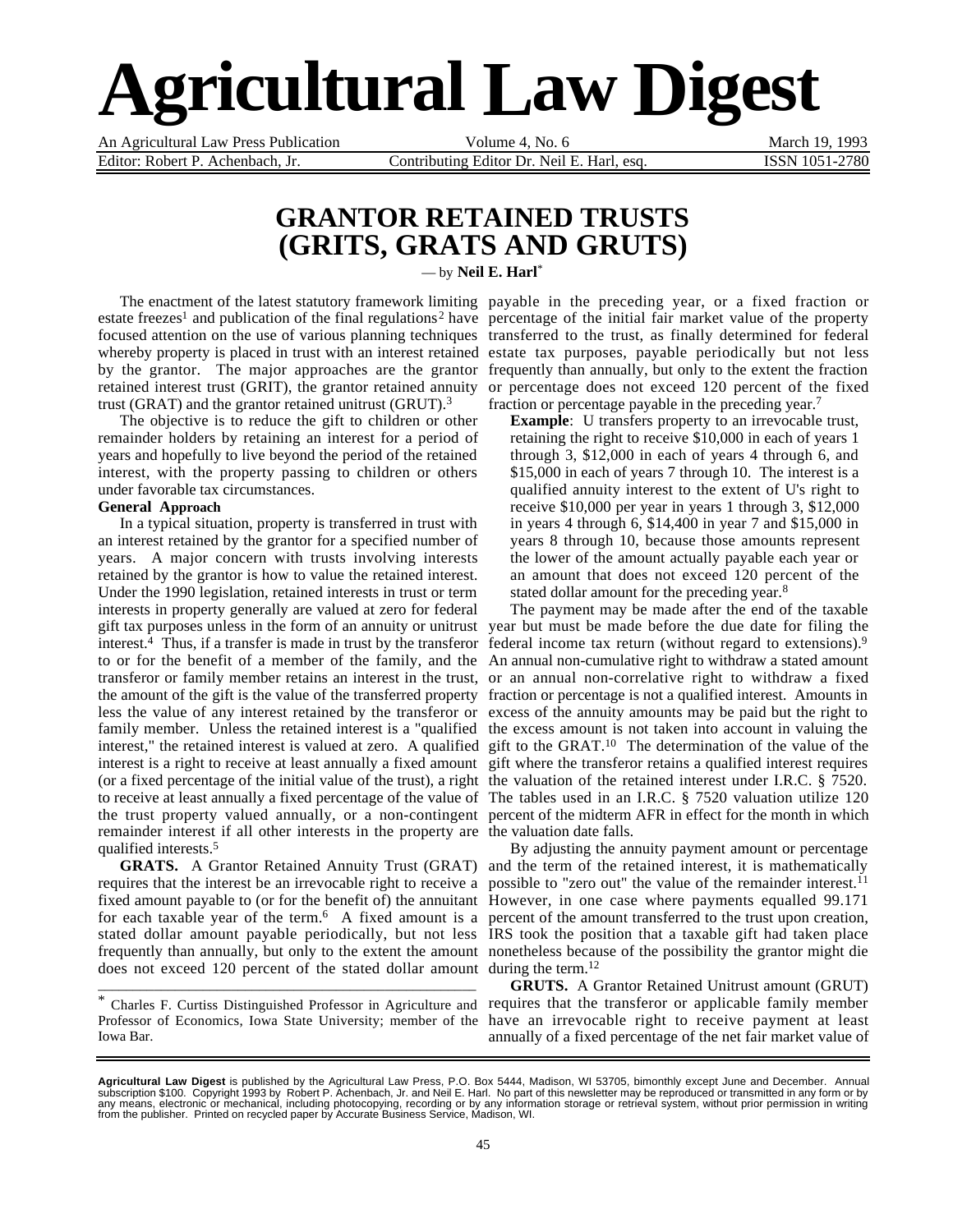# **Agricultural Law Digest**

Editor: Robert P. Achenbach, Jr. Contributing Editor Dr. Neil E. Harl, esq. **ISSN 1051-2780** 

An Agricultural Law Press Publication **Volume 4, No. 6** March 19, 1993

### **GRANTOR RETAINED TRUSTS (GRITS, GRATS AND GRUTS)**

— by **Neil E. Harl**\*

estate freezes<sup>1</sup> and publication of the final regulations<sup>2</sup> have percentage of the initial fair market value of the property focused attention on the use of various planning techniques transferred to the trust, as finally determined for federal whereby property is placed in trust with an interest retained by the grantor. The major approaches are the grantor frequently than annually, but only to the extent the fraction retained interest trust (GRIT), the grantor retained annuity trust (GRAT) and the grantor retained unitrust (GRUT).3

The objective is to reduce the gift to children or other remainder holders by retaining an interest for a period of years and hopefully to live beyond the period of the retained interest, with the property passing to children or others under favorable tax circumstances.

#### **General Approach**

In a typical situation, property is transferred in trust with an interest retained by the grantor for a specified number of years. A major concern with trusts involving interests retained by the grantor is how to value the retained interest. Under the 1990 legislation, retained interests in trust or term interests in property generally are valued at zero for federal gift tax purposes unless in the form of an annuity or unitrust year but must be made before the due date for filing the interest.4 Thus, if a transfer is made in trust by the transferor federal income tax return (without regard to extensions).9 to or for the benefit of a member of the family, and the An annual non-cumulative right to withdraw a stated amount transferor or family member retains an interest in the trust, or an annual non-correlative right to withdraw a fixed the amount of the gift is the value of the transferred property fraction or percentage is not a qualified interest. Amounts in less the value of any interest retained by the transferor or excess of the annuity amounts may be paid but the right to family member. Unless the retained interest is a "qualified the excess amount is not taken into account in valuing the interest," the retained interest is valued at zero. A qualified gift to the GRAT.<sup>10</sup> The determination of the value of the interest is a right to receive at least annually a fixed amount gift where the transferor retains a qualified interest requires (or a fixed percentage of the initial value of the trust), a right the valuation of the retained interest under I.R.C. § 7520. to receive at least annually a fixed percentage of the value of The tables used in an I.R.C. § 7520 valuation utilize 120 the trust property valued annually, or a non-contingent percent of the midterm AFR in effect for the month in which remainder interest if all other interests in the property are the valuation date falls. qualified interests.5

requires that the interest be an irrevocable right to receive a possible to "zero out" the value of the remainder interest.<sup>11</sup> fixed amount payable to (or for the benefit of) the annuitant However, in one case where payments equalled 99.171 for each taxable year of the term.<sup>6</sup> A fixed amount is a percent of the amount transferred to the trust upon creation, stated dollar amount payable periodically, but not less IRS took the position that a taxable gift had taken place frequently than annually, but only to the extent the amount nonetheless because of the possibility the grantor might die does not exceed 120 percent of the stated dollar amount during the term.<sup>12</sup>

Iowa Bar.

\_\_\_\_\_\_\_\_\_\_\_\_\_\_\_\_\_\_\_\_\_\_\_\_\_\_\_\_\_\_\_\_\_\_\_\_\_\_\_\_\_\_\_\_\_\_\_\_\_\_\_\_\_\_

The enactment of the latest statutory framework limiting payable in the preceding year, or a fixed fraction or estate tax purposes, payable periodically but not less or percentage does not exceed 120 percent of the fixed fraction or percentage payable in the preceding year.7

> **Example**: U transfers property to an irrevocable trust, retaining the right to receive \$10,000 in each of years 1 through 3, \$12,000 in each of years 4 through 6, and \$15,000 in each of years 7 through 10. The interest is a qualified annuity interest to the extent of U's right to receive \$10,000 per year in years 1 through 3, \$12,000 in years 4 through 6, \$14,400 in year 7 and \$15,000 in years 8 through 10, because those amounts represent the lower of the amount actually payable each year or an amount that does not exceed 120 percent of the stated dollar amount for the preceding year.<sup>8</sup>

The payment may be made after the end of the taxable

**GRATS.** A Grantor Retained Annuity Trust (GRAT) and the term of the retained interest, it is mathematically By adjusting the annuity payment amount or percentage

\* Charles F. Curtiss Distinguished Professor in Agriculture and requires that the transferor or applicable family member Professor of Economics, Iowa State University; member of the have an irrevocable right to receive payment at least **GRUTS.** A Grantor Retained Unitrust amount (GRUT) annually of a fixed percentage of the net fair market value of

**Agricultural Law Digest** is published by the Agricultural Law Press, P.O. Box 5444, Madison, WI 53705, bimonthly except June and December. Annual<br>subscription \$100. Copyright 1993 by Robert P. Achenbach, Jr. and Neil E. from the publisher. Printed on recycled paper by Accurate Business Service, Madison, WI.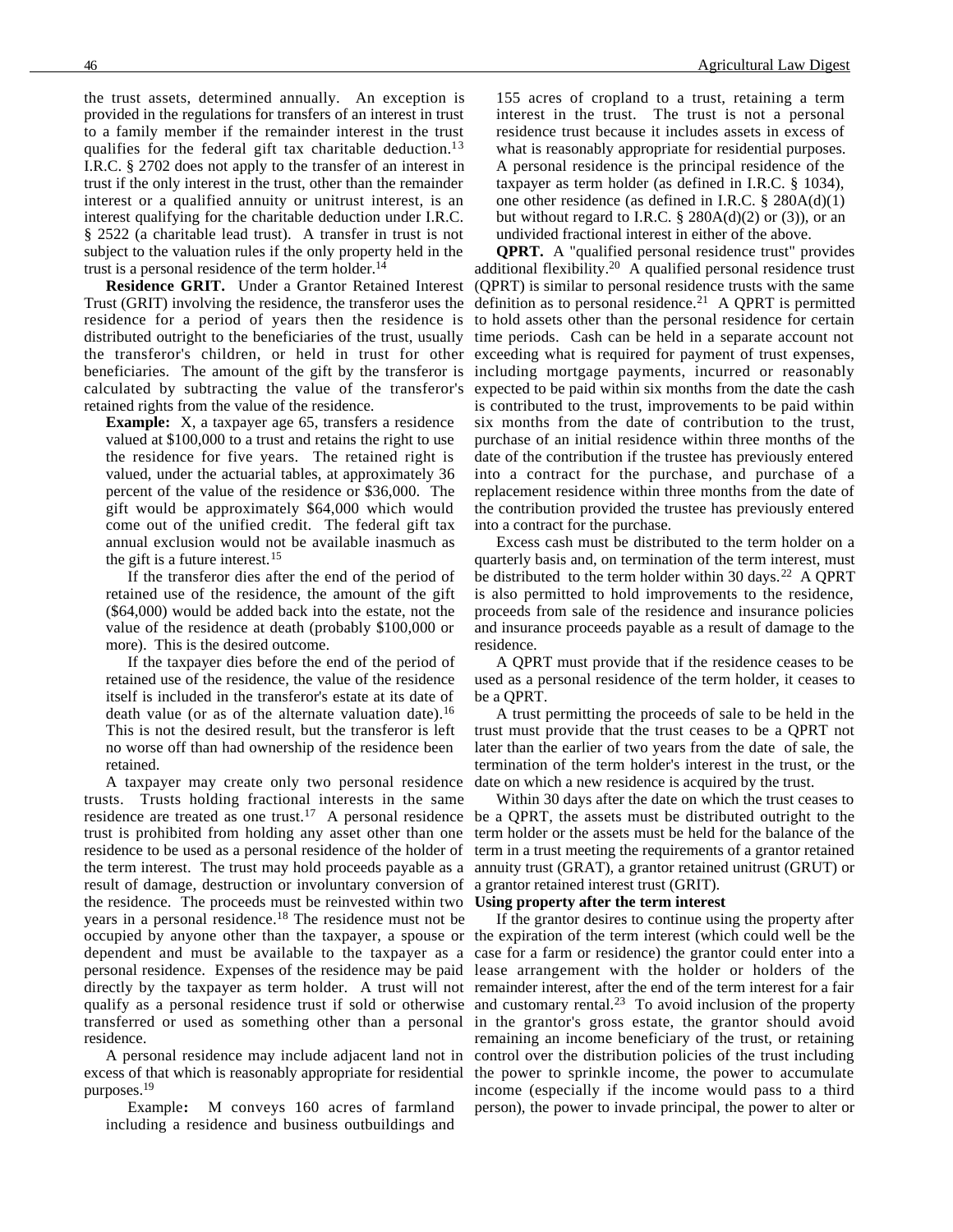the trust assets, determined annually. An exception is provided in the regulations for transfers of an interest in trust to a family member if the remainder interest in the trust qualifies for the federal gift tax charitable deduction.<sup>13</sup> I.R.C. § 2702 does not apply to the transfer of an interest in trust if the only interest in the trust, other than the remainder interest or a qualified annuity or unitrust interest, is an interest qualifying for the charitable deduction under I.R.C. § 2522 (a charitable lead trust). A transfer in trust is not subject to the valuation rules if the only property held in the trust is a personal residence of the term holder.<sup>14</sup>

**Residence GRIT.** Under a Grantor Retained Interest Trust (GRIT) involving the residence, the transferor uses the residence for a period of years then the residence is distributed outright to the beneficiaries of the trust, usually the transferor's children, or held in trust for other beneficiaries. The amount of the gift by the transferor is including mortgage payments, incurred or reasonably calculated by subtracting the value of the transferor's retained rights from the value of the residence.

**Example:** X, a taxpayer age 65, transfers a residence valued at \$100,000 to a trust and retains the right to use the residence for five years. The retained right is valued, under the actuarial tables, at approximately 36 percent of the value of the residence or \$36,000. The gift would be approximately \$64,000 which would come out of the unified credit. The federal gift tax annual exclusion would not be available inasmuch as the gift is a future interest.15

If the transferor dies after the end of the period of retained use of the residence, the amount of the gift (\$64,000) would be added back into the estate, not the value of the residence at death (probably \$100,000 or more). This is the desired outcome.

If the taxpayer dies before the end of the period of retained use of the residence, the value of the residence itself is included in the transferor's estate at its date of death value (or as of the alternate valuation date).<sup>16</sup> This is not the desired result, but the transferor is left no worse off than had ownership of the residence been retained.

A taxpayer may create only two personal residence date on which a new residence is acquired by the trust. trusts. Trusts holding fractional interests in the same trust is prohibited from holding any asset other than one residence to be used as a personal residence of the holder of result of damage, destruction or involuntary conversion of a grantor retained interest trust (GRIT). the residence. The proceeds must be reinvested within two years in a personal residence.18 The residence must not be residence.

excess of that which is reasonably appropriate for residential purposes.19

Example**:** M conveys 160 acres of farmland including a residence and business outbuildings and

155 acres of cropland to a trust, retaining a term interest in the trust. The trust is not a personal residence trust because it includes assets in excess of what is reasonably appropriate for residential purposes. A personal residence is the principal residence of the taxpayer as term holder (as defined in I.R.C. § 1034), one other residence (as defined in I.R.C. § 280A(d)(1) but without regard to I.R.C.  $\S$  280A(d)(2) or (3)), or an undivided fractional interest in either of the above.

**QPRT.** A "qualified personal residence trust" provides additional flexibility.20 A qualified personal residence trust (QPRT) is similar to personal residence trusts with the same definition as to personal residence.<sup>21</sup> A QPRT is permitted to hold assets other than the personal residence for certain time periods. Cash can be held in a separate account not exceeding what is required for payment of trust expenses, expected to be paid within six months from the date the cash is contributed to the trust, improvements to be paid within six months from the date of contribution to the trust, purchase of an initial residence within three months of the date of the contribution if the trustee has previously entered into a contract for the purchase, and purchase of a replacement residence within three months from the date of the contribution provided the trustee has previously entered into a contract for the purchase.

Excess cash must be distributed to the term holder on a quarterly basis and, on termination of the term interest, must be distributed to the term holder within 30 days.<sup>22</sup> A QPRT is also permitted to hold improvements to the residence, proceeds from sale of the residence and insurance policies and insurance proceeds payable as a result of damage to the residence.

A QPRT must provide that if the residence ceases to be used as a personal residence of the term holder, it ceases to be a QPRT.

A trust permitting the proceeds of sale to be held in the trust must provide that the trust ceases to be a QPRT not later than the earlier of two years from the date of sale, the termination of the term holder's interest in the trust, or the

residence are treated as one trust.<sup>17</sup> A personal residence be a QPRT, the assets must be distributed outright to the the term interest. The trust may hold proceeds payable as a annuity trust (GRAT), a grantor retained unitrust (GRUT) or Within 30 days after the date on which the trust ceases to term holder or the assets must be held for the balance of the term in a trust meeting the requirements of a grantor retained

#### **Using property after the term interest**

occupied by anyone other than the taxpayer, a spouse or the expiration of the term interest (which could well be the dependent and must be available to the taxpayer as a case for a farm or residence) the grantor could enter into a personal residence. Expenses of the residence may be paid lease arrangement with the holder or holders of the directly by the taxpayer as term holder. A trust will not remainder interest, after the end of the term interest for a fair qualify as a personal residence trust if sold or otherwise and customary rental.<sup>23</sup> To avoid inclusion of the property transferred or used as something other than a personal in the grantor's gross estate, the grantor should avoid A personal residence may include adjacent land not in control over the distribution policies of the trust including If the grantor desires to continue using the property after remaining an income beneficiary of the trust, or retaining the power to sprinkle income, the power to accumulate income (especially if the income would pass to a third person), the power to invade principal, the power to alter or